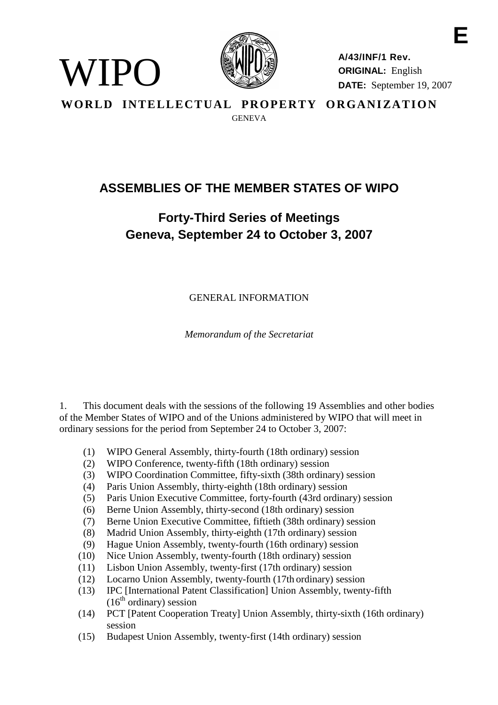

WIPO

**A/43/INF/1 Rev. ORIGINAL:** English **DATE:** September 19, 2007

**E**

WORLD INTELLECTUAL PROPERTY ORGANIZATION **GENEVA** 

# **ASSEMBLIES OF THE MEMBER STATES OF WIPO**

# **Forty-Third Series of Meetings Geneva, September 24 to October 3, 2007**

GENERAL INFORMATION

*Memorandum of the Secretariat*

1. This document deals with the sessions of the following 19 Assemblies and other bodies of the Member States of WIPO and of the Unions administered by WIPO that will meet in ordinary sessions for the period from September 24 to October 3, 2007:

- (1) WIPO General Assembly, thirty-fourth (18th ordinary) session
- (2) WIPO Conference, twenty-fifth (18th ordinary) session
- (3) WIPO Coordination Committee, fifty-sixth (38th ordinary) session
- (4) Paris Union Assembly, thirty-eighth (18th ordinary) session
- (5) Paris Union Executive Committee, forty-fourth (43rd ordinary) session
- (6) Berne Union Assembly, thirty-second (18th ordinary) session
- (7) Berne Union Executive Committee, fiftieth (38th ordinary) session
- (8) Madrid Union Assembly, thirty-eighth (17th ordinary) session
- (9) Hague Union Assembly, twenty-fourth (16th ordinary) session
- (10) Nice Union Assembly, twenty-fourth (18th ordinary) session
- (11) Lisbon Union Assembly, twenty-first (17th ordinary) session
- (12) Locarno Union Assembly, twenty-fourth (17th ordinary) session
- (13) IPC [International Patent Classification] Union Assembly, twenty-fifth  $(16<sup>th</sup>$  ordinary) session
- (14) PCT [Patent Cooperation Treaty] Union Assembly, thirty-sixth (16th ordinary) session
- (15) Budapest Union Assembly, twenty-first (14th ordinary) session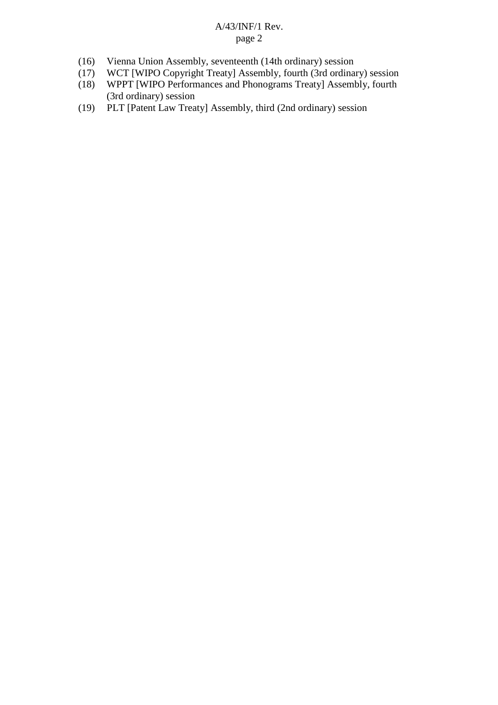- (16) Vienna Union Assembly, seventeenth (14th ordinary) session
- (17) WCT [WIPO Copyright Treaty] Assembly, fourth (3rd ordinary) session<br>(18) WPPT [WIPO Performances and Phonograms Treaty] Assembly, fourth
- WPPT [WIPO Performances and Phonograms Treaty] Assembly, fourth (3rd ordinary) session
- (19) PLT [Patent Law Treaty] Assembly, third (2nd ordinary) session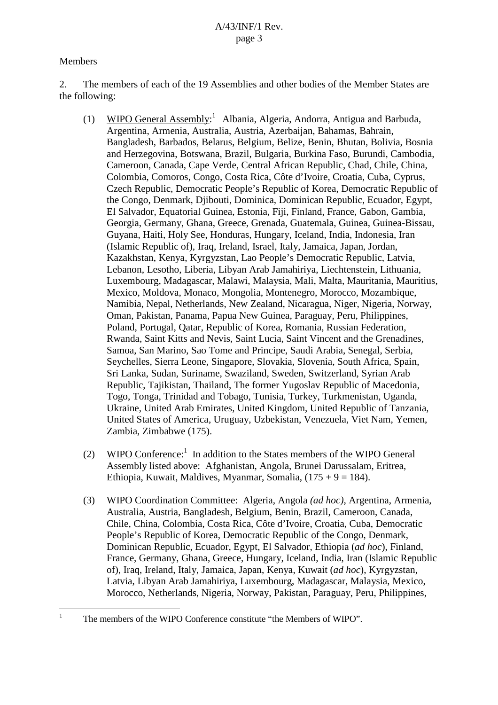## Members

2. The members of each of the 19 Assemblies and other bodies of the Member States are the following:

- (1) WIPO General Assembly:<sup>1</sup> Albania, Algeria, Andorra, Antigua and Barbuda, Argentina, Armenia, Australia, Austria, Azerbaijan, Bahamas, Bahrain, Bangladesh, Barbados, Belarus, Belgium, Belize, Benin, Bhutan, Bolivia, Bosnia and Herzegovina, Botswana, Brazil, Bulgaria, Burkina Faso, Burundi, Cambodia, Cameroon, Canada, Cape Verde, Central African Republic, Chad, Chile, China, Colombia, Comoros, Congo, Costa Rica, Côte d'Ivoire, Croatia, Cuba, Cyprus, Czech Republic, Democratic People's Republic of Korea, Democratic Republic of the Congo, Denmark, Djibouti, Dominica, Dominican Republic, Ecuador, Egypt, El Salvador, Equatorial Guinea, Estonia, Fiji, Finland, France, Gabon, Gambia, Georgia, Germany, Ghana, Greece, Grenada, Guatemala, Guinea, Guinea-Bissau, Guyana, Haiti, Holy See, Honduras, Hungary, Iceland, India, Indonesia, Iran (Islamic Republic of), Iraq, Ireland, Israel, Italy, Jamaica, Japan, Jordan, Kazakhstan, Kenya, Kyrgyzstan, Lao People's Democratic Republic, Latvia, Lebanon, Lesotho, Liberia, Libyan Arab Jamahiriya, Liechtenstein, Lithuania, Luxembourg, Madagascar, Malawi, Malaysia, Mali, Malta, Mauritania, Mauritius, Mexico, Moldova, Monaco, Mongolia, Montenegro, Morocco, Mozambique, Namibia, Nepal, Netherlands, New Zealand, Nicaragua, Niger, Nigeria, Norway, Oman, Pakistan, Panama, Papua New Guinea, Paraguay, Peru, Philippines, Poland, Portugal, Qatar, Republic of Korea, Romania, Russian Federation, Rwanda, Saint Kitts and Nevis, Saint Lucia, Saint Vincent and the Grenadines, Samoa, San Marino, Sao Tome and Principe, Saudi Arabia, Senegal, Serbia, Seychelles, Sierra Leone, Singapore, Slovakia, Slovenia, South Africa, Spain, Sri Lanka, Sudan, Suriname, Swaziland, Sweden, Switzerland, Syrian Arab Republic, Tajikistan, Thailand, The former Yugoslav Republic of Macedonia, Togo, Tonga, Trinidad and Tobago, Tunisia, Turkey, Turkmenistan, Uganda, Ukraine, United Arab Emirates, United Kingdom, United Republic of Tanzania, United States of America, Uruguay, Uzbekistan, Venezuela, Viet Nam, Yemen, Zambia, Zimbabwe (175).
- (2) WIPO Conference:<sup>1</sup> In addition to the States members of the WIPO General Assembly listed above: Afghanistan, Angola, Brunei Darussalam, Eritrea, Ethiopia, Kuwait, Maldives, Myanmar, Somalia,  $(175 + 9 = 184)$ .
- (3) WIPO Coordination Committee: Algeria, Angola *(ad hoc)*, Argentina, Armenia, Australia, Austria, Bangladesh, Belgium, Benin, Brazil, Cameroon, Canada, Chile, China, Colombia, Costa Rica, Côte d'Ivoire, Croatia, Cuba, Democratic People's Republic of Korea, Democratic Republic of the Congo, Denmark, Dominican Republic, Ecuador, Egypt, El Salvador, Ethiopia (*ad hoc*), Finland, France, Germany, Ghana, Greece, Hungary, Iceland, India, Iran (Islamic Republic of), Iraq, Ireland, Italy, Jamaica, Japan, Kenya, Kuwait (*ad hoc*), Kyrgyzstan, Latvia, Libyan Arab Jamahiriya, Luxembourg, Madagascar, Malaysia, Mexico, Morocco, Netherlands, Nigeria, Norway, Pakistan, Paraguay, Peru, Philippines,

The members of the WIPO Conference constitute "the Members of WIPO".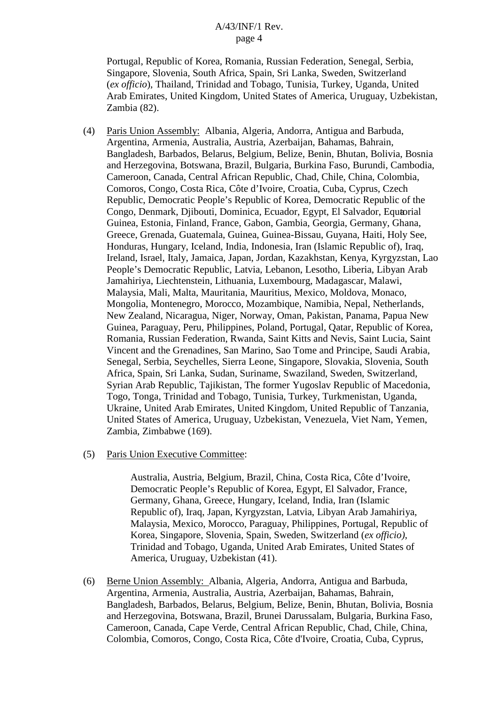Portugal, Republic of Korea, Romania, Russian Federation, Senegal, Serbia, Singapore, Slovenia, South Africa, Spain, Sri Lanka, Sweden, Switzerland (*ex officio*), Thailand, Trinidad and Tobago, Tunisia, Turkey, Uganda, United Arab Emirates, United Kingdom, United States of America, Uruguay, Uzbekistan, Zambia (82).

- (4) Paris Union Assembly: Albania, Algeria, Andorra, Antigua and Barbuda, Argentina, Armenia, Australia, Austria, Azerbaijan, Bahamas, Bahrain, Bangladesh, Barbados, Belarus, Belgium, Belize, Benin, Bhutan, Bolivia, Bosnia and Herzegovina, Botswana, Brazil, Bulgaria, Burkina Faso, Burundi, Cambodia, Cameroon, Canada, Central African Republic, Chad, Chile, China, Colombia, Comoros, Congo, Costa Rica, Côte d'Ivoire, Croatia, Cuba, Cyprus, Czech Republic, Democratic People's Republic of Korea, Democratic Republic of the Congo, Denmark, Djibouti, Dominica, Ecuador, Egypt, El Salvador, Equtorial Guinea, Estonia, Finland, France, Gabon, Gambia, Georgia, Germany, Ghana, Greece, Grenada, Guatemala, Guinea, Guinea-Bissau, Guyana, Haiti, Holy See, Honduras, Hungary, Iceland, India, Indonesia, Iran (Islamic Republic of), Iraq, Ireland, Israel, Italy, Jamaica, Japan, Jordan, Kazakhstan, Kenya, Kyrgyzstan, Lao People's Democratic Republic, Latvia, Lebanon, Lesotho, Liberia, Libyan Arab Jamahiriya, Liechtenstein, Lithuania, Luxembourg, Madagascar, Malawi, Malaysia, Mali, Malta, Mauritania, Mauritius, Mexico, Moldova, Monaco, Mongolia, Montenegro, Morocco, Mozambique, Namibia, Nepal, Netherlands, New Zealand, Nicaragua, Niger, Norway, Oman, Pakistan, Panama, Papua New Guinea, Paraguay, Peru, Philippines, Poland, Portugal, Qatar, Republic of Korea, Romania, Russian Federation, Rwanda, Saint Kitts and Nevis, Saint Lucia, Saint Vincent and the Grenadines, San Marino, Sao Tome and Principe, Saudi Arabia, Senegal, Serbia, Seychelles, Sierra Leone, Singapore, Slovakia, Slovenia, South Africa, Spain, Sri Lanka, Sudan, Suriname, Swaziland, Sweden, Switzerland, Syrian Arab Republic, Tajikistan, The former Yugoslav Republic of Macedonia, Togo, Tonga, Trinidad and Tobago, Tunisia, Turkey, Turkmenistan, Uganda, Ukraine, United Arab Emirates, United Kingdom, United Republic of Tanzania, United States of America, Uruguay, Uzbekistan, Venezuela, Viet Nam, Yemen, Zambia, Zimbabwe (169).
- (5) Paris Union Executive Committee:

Australia, Austria, Belgium, Brazil, China, Costa Rica, Côte d'Ivoire, Democratic People's Republic of Korea, Egypt, El Salvador, France, Germany, Ghana, Greece, Hungary, Iceland, India, Iran (Islamic Republic of), Iraq, Japan, Kyrgyzstan, Latvia, Libyan Arab Jamahiriya, Malaysia, Mexico, Morocco, Paraguay, Philippines, Portugal, Republic of Korea, Singapore, Slovenia, Spain, Sweden, Switzerland (*ex officio)*, Trinidad and Tobago, Uganda, United Arab Emirates, United States of America, Uruguay, Uzbekistan (41).

(6) Berne Union Assembly: Albania, Algeria, Andorra, Antigua and Barbuda, Argentina, Armenia, Australia, Austria, Azerbaijan, Bahamas, Bahrain, Bangladesh, Barbados, Belarus, Belgium, Belize, Benin, Bhutan, Bolivia, Bosnia and Herzegovina, Botswana, Brazil, Brunei Darussalam, Bulgaria, Burkina Faso, Cameroon, Canada, Cape Verde, Central African Republic, Chad, Chile, China, Colombia, Comoros, Congo, Costa Rica, Côte d'Ivoire, Croatia, Cuba, Cyprus,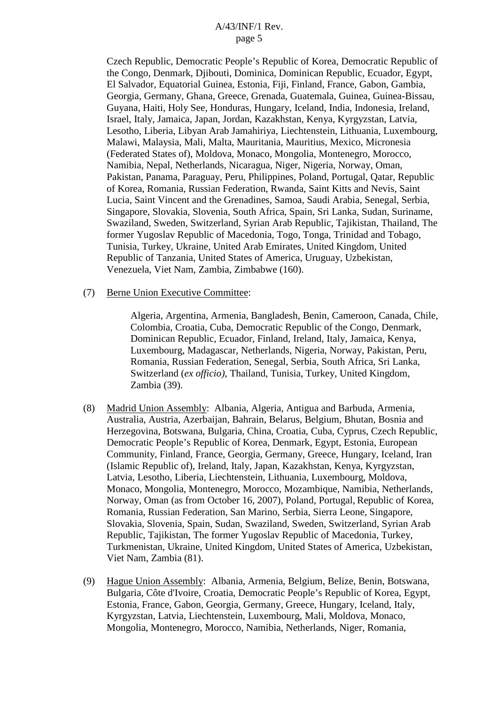Czech Republic, Democratic People's Republic of Korea, Democratic Republic of the Congo, Denmark, Djibouti, Dominica, Dominican Republic, Ecuador, Egypt, El Salvador, Equatorial Guinea, Estonia, Fiji, Finland, France, Gabon, Gambia, Georgia, Germany, Ghana, Greece, Grenada, Guatemala, Guinea, Guinea-Bissau, Guyana, Haiti, Holy See, Honduras, Hungary, Iceland, India, Indonesia, Ireland, Israel, Italy, Jamaica, Japan, Jordan, Kazakhstan, Kenya, Kyrgyzstan, Latvia, Lesotho, Liberia, Libyan Arab Jamahiriya, Liechtenstein, Lithuania, Luxembourg, Malawi, Malaysia, Mali, Malta, Mauritania, Mauritius, Mexico, Micronesia (Federated States of), Moldova, Monaco, Mongolia, Montenegro, Morocco, Namibia, Nepal, Netherlands, Nicaragua, Niger, Nigeria, Norway, Oman, Pakistan, Panama, Paraguay, Peru, Philippines, Poland, Portugal, Qatar, Republic of Korea, Romania, Russian Federation, Rwanda, Saint Kitts and Nevis, Saint Lucia, Saint Vincent and the Grenadines, Samoa, Saudi Arabia, Senegal, Serbia, Singapore, Slovakia, Slovenia, South Africa, Spain, Sri Lanka, Sudan, Suriname, Swaziland, Sweden, Switzerland, Syrian Arab Republic, Tajikistan, Thailand, The former Yugoslav Republic of Macedonia, Togo, Tonga, Trinidad and Tobago, Tunisia, Turkey, Ukraine, United Arab Emirates, United Kingdom, United Republic of Tanzania, United States of America, Uruguay, Uzbekistan, Venezuela, Viet Nam, Zambia, Zimbabwe (160).

#### (7) Berne Union Executive Committee:

Algeria, Argentina, Armenia, Bangladesh, Benin, Cameroon, Canada, Chile, Colombia, Croatia, Cuba, Democratic Republic of the Congo, Denmark, Dominican Republic, Ecuador, Finland, Ireland, Italy, Jamaica, Kenya, Luxembourg, Madagascar, Netherlands, Nigeria, Norway, Pakistan, Peru, Romania, Russian Federation, Senegal, Serbia, South Africa, Sri Lanka, Switzerland (*ex officio)*, Thailand, Tunisia, Turkey, United Kingdom, Zambia (39).

- (8) Madrid Union Assembly: Albania, Algeria, Antigua and Barbuda, Armenia, Australia, Austria, Azerbaijan, Bahrain, Belarus, Belgium, Bhutan, Bosnia and Herzegovina, Botswana, Bulgaria, China, Croatia, Cuba, Cyprus, Czech Republic, Democratic People's Republic of Korea, Denmark, Egypt, Estonia, European Community, Finland, France, Georgia, Germany, Greece, Hungary, Iceland, Iran (Islamic Republic of), Ireland, Italy, Japan, Kazakhstan, Kenya, Kyrgyzstan, Latvia, Lesotho, Liberia, Liechtenstein, Lithuania, Luxembourg, Moldova, Monaco, Mongolia, Montenegro, Morocco, Mozambique, Namibia, Netherlands, Norway, Oman (as from October 16, 2007), Poland, Portugal, Republic of Korea, Romania, Russian Federation, San Marino, Serbia, Sierra Leone, Singapore, Slovakia, Slovenia, Spain, Sudan, Swaziland, Sweden, Switzerland, Syrian Arab Republic, Tajikistan, The former Yugoslav Republic of Macedonia, Turkey, Turkmenistan, Ukraine, United Kingdom, United States of America, Uzbekistan, Viet Nam, Zambia (81).
- (9) Hague Union Assembly: Albania, Armenia, Belgium, Belize, Benin, Botswana, Bulgaria, Côte d'Ivoire, Croatia, Democratic People's Republic of Korea, Egypt, Estonia, France, Gabon, Georgia, Germany, Greece, Hungary, Iceland, Italy, Kyrgyzstan, Latvia, Liechtenstein, Luxembourg, Mali, Moldova, Monaco, Mongolia, Montenegro, Morocco, Namibia, Netherlands, Niger, Romania,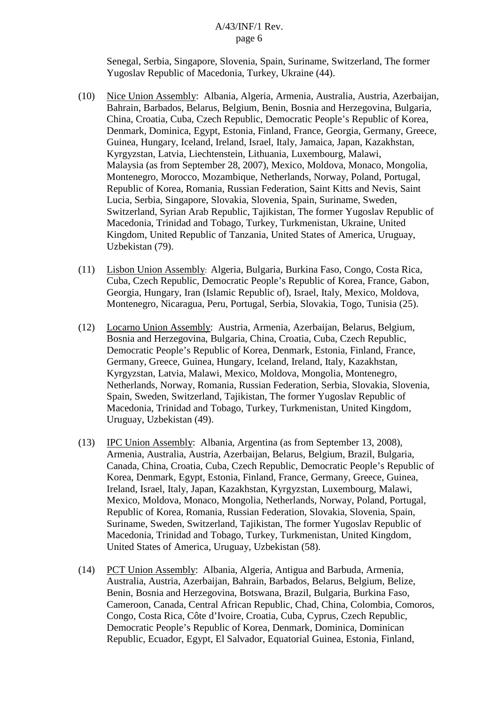Senegal, Serbia, Singapore, Slovenia, Spain, Suriname, Switzerland, The former Yugoslav Republic of Macedonia, Turkey, Ukraine (44).

- (10) Nice Union Assembly: Albania, Algeria, Armenia, Australia, Austria, Azerbaijan, Bahrain, Barbados, Belarus, Belgium, Benin, Bosnia and Herzegovina, Bulgaria, China, Croatia, Cuba, Czech Republic, Democratic People's Republic of Korea, Denmark, Dominica, Egypt, Estonia, Finland, France, Georgia, Germany, Greece, Guinea, Hungary, Iceland, Ireland, Israel, Italy, Jamaica, Japan, Kazakhstan, Kyrgyzstan, Latvia, Liechtenstein, Lithuania, Luxembourg, Malawi, Malaysia (as from September 28, 2007), Mexico, Moldova, Monaco, Mongolia, Montenegro, Morocco, Mozambique, Netherlands, Norway, Poland, Portugal, Republic of Korea, Romania, Russian Federation, Saint Kitts and Nevis, Saint Lucia, Serbia, Singapore, Slovakia, Slovenia, Spain, Suriname, Sweden, Switzerland, Syrian Arab Republic, Tajikistan, The former Yugoslav Republic of Macedonia, Trinidad and Tobago, Turkey, Turkmenistan, Ukraine, United Kingdom, United Republic of Tanzania, United States of America, Uruguay, Uzbekistan (79).
- (11) Lisbon Union Assembly: Algeria, Bulgaria, Burkina Faso, Congo, Costa Rica, Cuba, Czech Republic, Democratic People's Republic of Korea, France, Gabon, Georgia, Hungary, Iran (Islamic Republic of), Israel, Italy, Mexico, Moldova, Montenegro, Nicaragua, Peru, Portugal, Serbia, Slovakia, Togo, Tunisia (25).
- (12) Locarno Union Assembly: Austria, Armenia, Azerbaijan, Belarus, Belgium, Bosnia and Herzegovina, Bulgaria, China, Croatia, Cuba, Czech Republic, Democratic People's Republic of Korea, Denmark, Estonia, Finland, France, Germany, Greece, Guinea, Hungary, Iceland, Ireland, Italy, Kazakhstan, Kyrgyzstan, Latvia, Malawi, Mexico, Moldova, Mongolia, Montenegro, Netherlands, Norway, Romania, Russian Federation, Serbia, Slovakia, Slovenia, Spain, Sweden, Switzerland, Tajikistan, The former Yugoslav Republic of Macedonia, Trinidad and Tobago, Turkey, Turkmenistan, United Kingdom, Uruguay, Uzbekistan (49).
- (13) IPC Union Assembly: Albania, Argentina (as from September 13, 2008), Armenia, Australia, Austria, Azerbaijan, Belarus, Belgium, Brazil, Bulgaria, Canada, China, Croatia, Cuba, Czech Republic, Democratic People's Republic of Korea, Denmark, Egypt, Estonia, Finland, France, Germany, Greece, Guinea, Ireland, Israel, Italy, Japan, Kazakhstan, Kyrgyzstan, Luxembourg, Malawi, Mexico, Moldova, Monaco, Mongolia, Netherlands, Norway, Poland, Portugal, Republic of Korea, Romania, Russian Federation, Slovakia, Slovenia, Spain, Suriname, Sweden, Switzerland, Tajikistan, The former Yugoslav Republic of Macedonia, Trinidad and Tobago, Turkey, Turkmenistan, United Kingdom, United States of America, Uruguay, Uzbekistan (58).
- (14) PCT Union Assembly: Albania, Algeria, Antigua and Barbuda, Armenia, Australia, Austria, Azerbaijan, Bahrain, Barbados, Belarus, Belgium, Belize, Benin, Bosnia and Herzegovina, Botswana, Brazil, Bulgaria, Burkina Faso, Cameroon, Canada, Central African Republic, Chad, China, Colombia, Comoros, Congo, Costa Rica, Côte d'Ivoire, Croatia, Cuba, Cyprus, Czech Republic, Democratic People's Republic of Korea, Denmark, Dominica, Dominican Republic, Ecuador, Egypt, El Salvador, Equatorial Guinea, Estonia, Finland,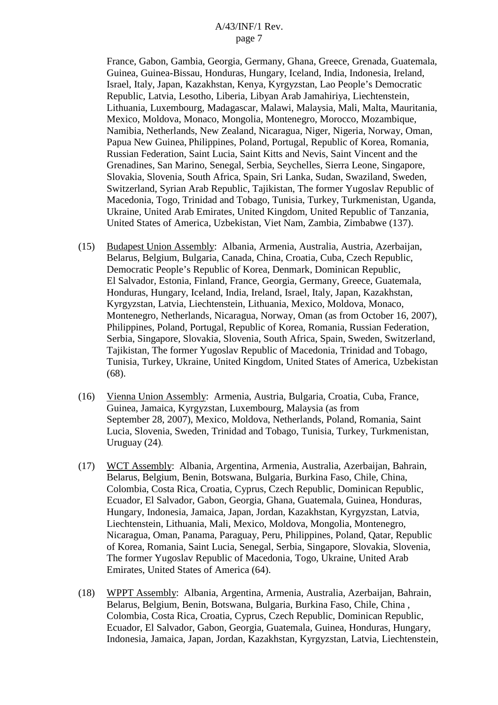France, Gabon, Gambia, Georgia, Germany, Ghana, Greece, Grenada, Guatemala, Guinea, Guinea-Bissau, Honduras, Hungary, Iceland, India, Indonesia, Ireland, Israel, Italy, Japan, Kazakhstan, Kenya, Kyrgyzstan, Lao People's Democratic Republic, Latvia, Lesotho, Liberia, Libyan Arab Jamahiriya, Liechtenstein, Lithuania, Luxembourg, Madagascar, Malawi, Malaysia, Mali, Malta, Mauritania, Mexico, Moldova, Monaco, Mongolia, Montenegro, Morocco, Mozambique, Namibia, Netherlands, New Zealand, Nicaragua, Niger, Nigeria, Norway, Oman, Papua New Guinea, Philippines, Poland, Portugal, Republic of Korea, Romania, Russian Federation, Saint Lucia, Saint Kitts and Nevis, Saint Vincent and the Grenadines, San Marino, Senegal, Serbia, Seychelles, Sierra Leone, Singapore, Slovakia, Slovenia, South Africa, Spain, Sri Lanka, Sudan, Swaziland, Sweden, Switzerland, Syrian Arab Republic, Tajikistan, The former Yugoslav Republic of Macedonia, Togo, Trinidad and Tobago, Tunisia, Turkey, Turkmenistan, Uganda, Ukraine, United Arab Emirates, United Kingdom, United Republic of Tanzania, United States of America, Uzbekistan, Viet Nam, Zambia, Zimbabwe (137).

- (15) Budapest Union Assembly: Albania, Armenia, Australia, Austria, Azerbaijan, Belarus, Belgium, Bulgaria, Canada, China, Croatia, Cuba, Czech Republic, Democratic People's Republic of Korea, Denmark, Dominican Republic, El Salvador, Estonia, Finland, France, Georgia, Germany, Greece, Guatemala, Honduras, Hungary, Iceland, India, Ireland, Israel, Italy, Japan, Kazakhstan, Kyrgyzstan, Latvia, Liechtenstein, Lithuania, Mexico, Moldova, Monaco, Montenegro, Netherlands, Nicaragua, Norway, Oman (as from October 16, 2007), Philippines, Poland, Portugal, Republic of Korea, Romania, Russian Federation, Serbia, Singapore, Slovakia, Slovenia, South Africa, Spain, Sweden, Switzerland, Tajikistan, The former Yugoslav Republic of Macedonia, Trinidad and Tobago, Tunisia, Turkey, Ukraine, United Kingdom, United States of America, Uzbekistan (68).
- (16) Vienna Union Assembly: Armenia, Austria, Bulgaria, Croatia, Cuba, France, Guinea, Jamaica, Kyrgyzstan, Luxembourg, Malaysia (as from September 28, 2007), Mexico, Moldova, Netherlands, Poland, Romania, Saint Lucia, Slovenia, Sweden, Trinidad and Tobago, Tunisia, Turkey, Turkmenistan, Uruguay (24).
- (17) WCT Assembly: Albania, Argentina, Armenia, Australia, Azerbaijan, Bahrain, Belarus, Belgium, Benin, Botswana, Bulgaria, Burkina Faso, Chile, China, Colombia, Costa Rica, Croatia, Cyprus, Czech Republic, Dominican Republic, Ecuador, El Salvador, Gabon, Georgia, Ghana, Guatemala, Guinea, Honduras, Hungary, Indonesia, Jamaica, Japan, Jordan, Kazakhstan, Kyrgyzstan, Latvia, Liechtenstein, Lithuania, Mali, Mexico, Moldova, Mongolia, Montenegro, Nicaragua, Oman, Panama, Paraguay, Peru, Philippines, Poland, Qatar, Republic of Korea, Romania, Saint Lucia, Senegal, Serbia, Singapore, Slovakia, Slovenia, The former Yugoslav Republic of Macedonia, Togo, Ukraine, United Arab Emirates, United States of America (64).
- (18) WPPT Assembly: Albania, Argentina, Armenia, Australia, Azerbaijan, Bahrain, Belarus, Belgium, Benin, Botswana, Bulgaria, Burkina Faso, Chile, China , Colombia, Costa Rica, Croatia, Cyprus, Czech Republic, Dominican Republic, Ecuador, El Salvador, Gabon, Georgia, Guatemala, Guinea, Honduras, Hungary, Indonesia, Jamaica, Japan, Jordan, Kazakhstan, Kyrgyzstan, Latvia, Liechtenstein,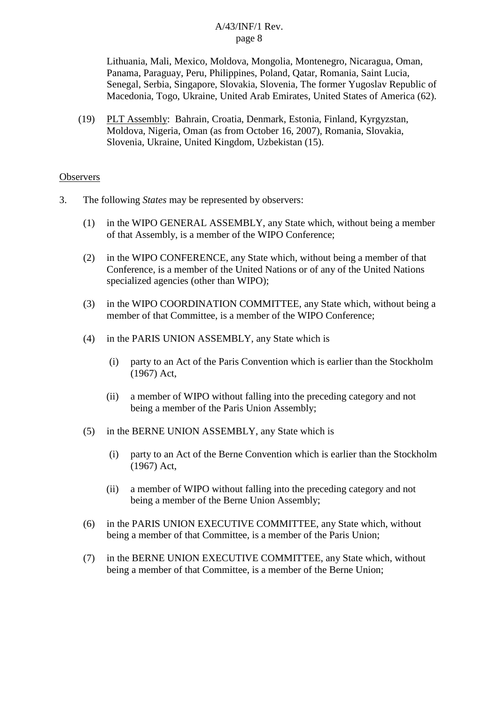Lithuania, Mali, Mexico, Moldova, Mongolia, Montenegro, Nicaragua, Oman, Panama, Paraguay, Peru, Philippines, Poland, Qatar, Romania, Saint Lucia, Senegal, Serbia, Singapore, Slovakia, Slovenia, The former Yugoslav Republic of Macedonia, Togo, Ukraine, United Arab Emirates, United States of America (62).

(19) PLT Assembly: Bahrain, Croatia, Denmark, Estonia, Finland, Kyrgyzstan, Moldova, Nigeria, Oman (as from October 16, 2007), Romania, Slovakia, Slovenia, Ukraine, United Kingdom, Uzbekistan (15).

#### **Observers**

- 3. The following *States* may be represented by observers:
	- (1) in the WIPO GENERAL ASSEMBLY, any State which, without being a member of that Assembly, is a member of the WIPO Conference;
	- (2) in the WIPO CONFERENCE, any State which, without being a member of that Conference, is a member of the United Nations or of any of the United Nations specialized agencies (other than WIPO);
	- (3) in the WIPO COORDINATION COMMITTEE, any State which, without being a member of that Committee, is a member of the WIPO Conference;
	- (4) in the PARIS UNION ASSEMBLY, any State which is
		- (i) party to an Act of the Paris Convention which is earlier than the Stockholm (1967) Act,
		- (ii) a member of WIPO without falling into the preceding category and not being a member of the Paris Union Assembly;
	- (5) in the BERNE UNION ASSEMBLY, any State which is
		- (i) party to an Act of the Berne Convention which is earlier than the Stockholm (1967) Act,
		- (ii) a member of WIPO without falling into the preceding category and not being a member of the Berne Union Assembly;
	- (6) in the PARIS UNION EXECUTIVE COMMITTEE, any State which, without being a member of that Committee, is a member of the Paris Union;
	- (7) in the BERNE UNION EXECUTIVE COMMITTEE, any State which, without being a member of that Committee, is a member of the Berne Union;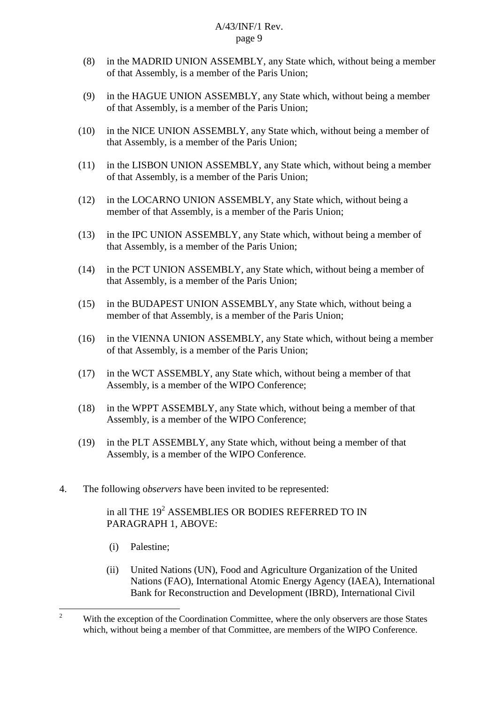- (8) in the MADRID UNION ASSEMBLY, any State which, without being a member of that Assembly, is a member of the Paris Union;
- (9) in the HAGUE UNION ASSEMBLY, any State which, without being a member of that Assembly, is a member of the Paris Union;
- (10) in the NICE UNION ASSEMBLY, any State which, without being a member of that Assembly, is a member of the Paris Union;
- (11) in the LISBON UNION ASSEMBLY, any State which, without being a member of that Assembly, is a member of the Paris Union;
- (12) in the LOCARNO UNION ASSEMBLY, any State which, without being a member of that Assembly, is a member of the Paris Union;
- (13) in the IPC UNION ASSEMBLY, any State which, without being a member of that Assembly, is a member of the Paris Union;
- (14) in the PCT UNION ASSEMBLY, any State which, without being a member of that Assembly, is a member of the Paris Union;
- (15) in the BUDAPEST UNION ASSEMBLY, any State which, without being a member of that Assembly, is a member of the Paris Union;
- (16) in the VIENNA UNION ASSEMBLY, any State which, without being a member of that Assembly, is a member of the Paris Union;
- (17) in the WCT ASSEMBLY, any State which, without being a member of that Assembly, is a member of the WIPO Conference;
- (18) in the WPPT ASSEMBLY, any State which, without being a member of that Assembly, is a member of the WIPO Conference;
- (19) in the PLT ASSEMBLY, any State which, without being a member of that Assembly, is a member of the WIPO Conference.
- 4. The following o*bservers* have been invited to be represented:

## in all THE  $19^2$  ASSEMBLIES OR BODIES REFERRED TO IN PARAGRAPH 1, ABOVE:

- (i) Palestine;
- (ii) United Nations (UN), Food and Agriculture Organization of the United Nations (FAO), International Atomic Energy Agency (IAEA), International Bank for Reconstruction and Development (IBRD), International Civil

<sup>&</sup>lt;sup>2</sup> With the exception of the Coordination Committee, where the only observers are those States which, without being a member of that Committee, are members of the WIPO Conference.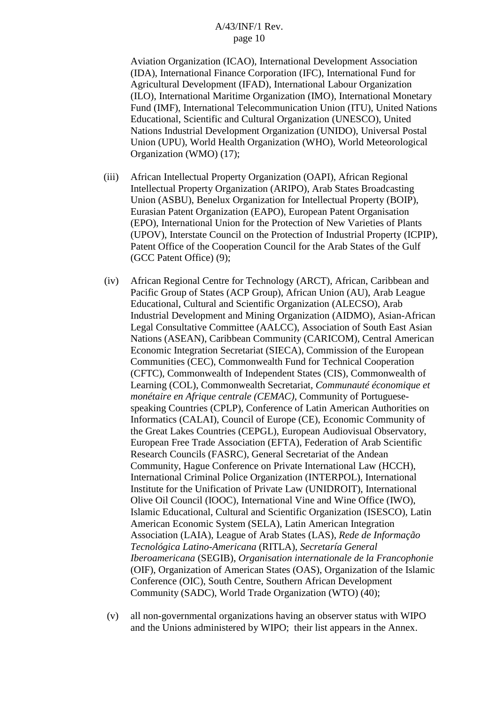Aviation Organization (ICAO), International Development Association (IDA), International Finance Corporation (IFC), International Fund for Agricultural Development (IFAD), International Labour Organization (ILO), International Maritime Organization (IMO), International Monetary Fund (IMF), International Telecommunication Union (ITU), United Nations Educational, Scientific and Cultural Organization (UNESCO), United Nations Industrial Development Organization (UNIDO), Universal Postal Union (UPU), World Health Organization (WHO), World Meteorological Organization (WMO) (17);

- (iii) African Intellectual Property Organization (OAPI), African Regional Intellectual Property Organization (ARIPO), Arab States Broadcasting Union (ASBU), Benelux Organization for Intellectual Property (BOIP), Eurasian Patent Organization (EAPO), European Patent Organisation (EPO), International Union for the Protection of New Varieties of Plants (UPOV), Interstate Council on the Protection of Industrial Property (ICPIP), Patent Office of the Cooperation Council for the Arab States of the Gulf (GCC Patent Office) (9);
- (iv) African Regional Centre for Technology (ARCT), African, Caribbean and Pacific Group of States (ACP Group), African Union (AU), Arab League Educational, Cultural and Scientific Organization (ALECSO), Arab Industrial Development and Mining Organization (AIDMO), Asian-African Legal Consultative Committee (AALCC), Association of South East Asian Nations (ASEAN), Caribbean Community (CARICOM), Central American Economic Integration Secretariat (SIECA), Commission of the European Communities (CEC), Commonwealth Fund for Technical Cooperation (CFTC), Commonwealth of Independent States (CIS), Commonwealth of Learning (COL), Commonwealth Secretariat, *Communauté économique et monétaire en Afrique centrale (CEMAC)*, Community of Portuguesespeaking Countries (CPLP), Conference of Latin American Authorities on Informatics (CALAI), Council of Europe (CE), Economic Community of the Great Lakes Countries (CEPGL), European Audiovisual Observatory, European Free Trade Association (EFTA), Federation of Arab Scientific Research Councils (FASRC), General Secretariat of the Andean Community, Hague Conference on Private International Law (HCCH), International Criminal Police Organization (INTERPOL), International Institute for the Unification of Private Law (UNIDROIT), International Olive Oil Council (IOOC), International Vine and Wine Office (IWO), Islamic Educational, Cultural and Scientific Organization (ISESCO), Latin American Economic System (SELA), Latin American Integration Association (LAIA), League of Arab States (LAS), *Rede de Informação Tecnológica Latino-Americana* (RITLA), *Secretaría General Iberoamericana* (SEGIB), *Organisation internationale de la Francophonie*  (OIF), Organization of American States (OAS), Organization of the Islamic Conference (OIC), South Centre, Southern African Development Community (SADC), World Trade Organization (WTO) (40);
- (v) all non-governmental organizations having an observer status with WIPO and the Unions administered by WIPO; their list appears in the Annex.